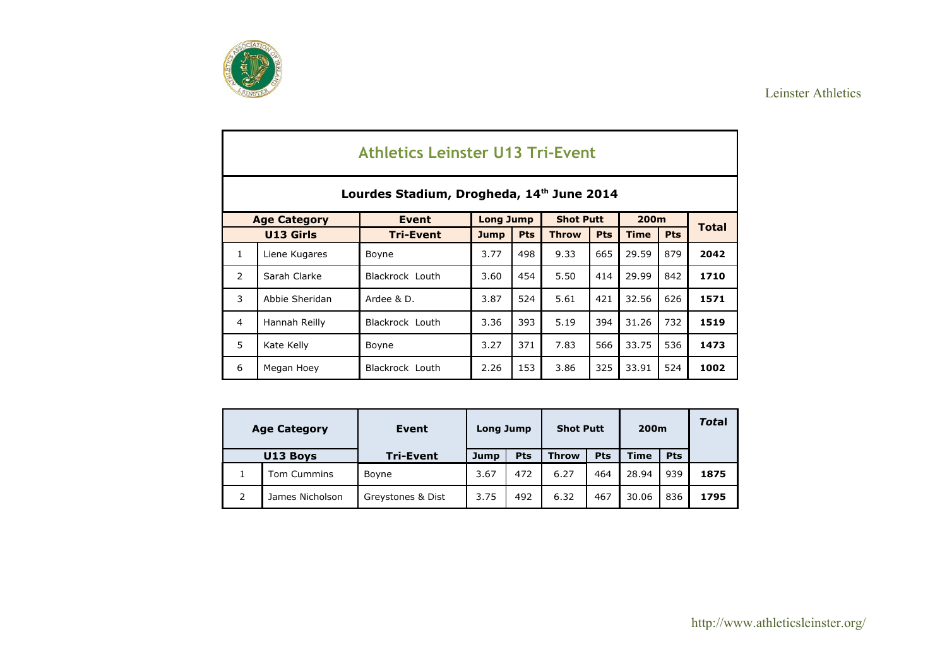

|                |                     | <b>Athletics Leinster U13 Tri-Event</b>   |                  |            |                  |            |             |            |              |
|----------------|---------------------|-------------------------------------------|------------------|------------|------------------|------------|-------------|------------|--------------|
|                |                     | Lourdes Stadium, Drogheda, 14th June 2014 |                  |            |                  |            |             |            |              |
|                | <b>Age Category</b> | <b>Event</b>                              | <b>Long Jump</b> |            | <b>Shot Putt</b> |            | 200m        |            |              |
|                | U13 Girls           | <b>Tri-Event</b>                          | <b>Jump</b>      | <b>Pts</b> | <b>Throw</b>     | <b>Pts</b> | <b>Time</b> | <b>Pts</b> | <b>Total</b> |
| $\mathbf{1}$   | Liene Kugares       | Boyne                                     | 3.77             | 498        | 9.33             | 665        | 29.59       | 879        | 2042         |
| 2              | Sarah Clarke        | Blackrock Louth                           | 3.60             | 454        | 5.50             | 414        | 29.99       | 842        | 1710         |
| 3              | Abbie Sheridan      | Ardee & D.                                | 3.87             | 524        | 5.61             | 421        | 32.56       | 626        | 1571         |
| $\overline{4}$ | Hannah Reilly       | Blackrock Louth                           | 3.36             | 393        | 5.19             | 394        | 31.26       | 732        | 1519         |
| 5              | Kate Kelly          | Boyne                                     | 3.27             | 371        | 7.83             | 566        | 33.75       | 536        | 1473         |
| 6              | Megan Hoey          | Blackrock Louth                           | 2.26             | 153        | 3.86             | 325        | 33.91       | 524        | 1002         |

|   | <b>Age Category</b> | Event             | Long Jump |     | <b>Shot Putt</b> |            | 200 <sub>m</sub> |            | <b>Total</b> |
|---|---------------------|-------------------|-----------|-----|------------------|------------|------------------|------------|--------------|
|   | U13 Boys            | <b>Tri-Event</b>  | Jump      | Pts | <b>Throw</b>     | <b>Pts</b> | <b>Time</b>      | <b>Pts</b> |              |
|   | Tom Cummins         | Boyne             | 3.67      | 472 | 6.27             | 464        | 28.94            | 939        | 1875         |
| 2 | James Nicholson     | Greystones & Dist | 3.75      | 492 | 6.32             | 467        | 30.06            | 836        | 1795         |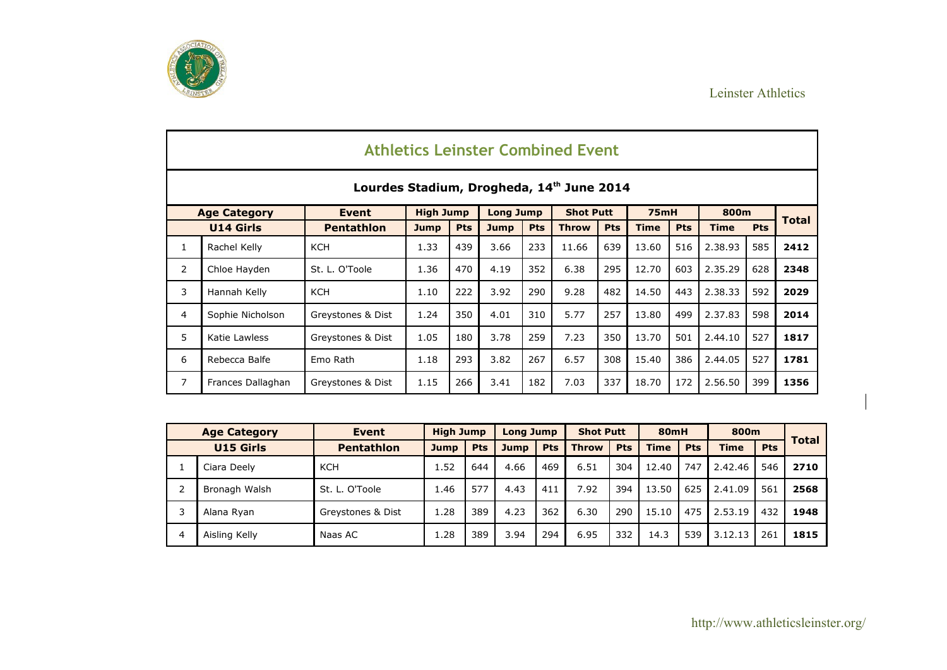



|                |                     |                                           |                  |            |                  |            | <b>Athletics Leinster Combined Event</b> |            |             |            |             |            |              |
|----------------|---------------------|-------------------------------------------|------------------|------------|------------------|------------|------------------------------------------|------------|-------------|------------|-------------|------------|--------------|
|                |                     | Lourdes Stadium, Drogheda, 14th June 2014 |                  |            |                  |            |                                          |            |             |            |             |            |              |
|                | <b>Age Category</b> | <b>Event</b>                              | <b>High Jump</b> |            | <b>Long Jump</b> |            | <b>Shot Putt</b>                         |            | <b>75mH</b> |            | 800m        |            |              |
|                | <b>U14 Girls</b>    | <b>Pentathlon</b>                         | <b>Jump</b>      | <b>Pts</b> | <b>Jump</b>      | <b>Pts</b> | <b>Throw</b>                             | <b>Pts</b> | <b>Time</b> | <b>Pts</b> | <b>Time</b> | <b>Pts</b> | <b>Total</b> |
| 1              | Rachel Kelly        | <b>KCH</b>                                | 1.33             | 439        | 3.66             | 233        | 11.66                                    | 639        | 13.60       | 516        | 2.38.93     | 585        | 2412         |
| $\overline{2}$ | Chloe Hayden        | St. L. O'Toole                            | 1.36             | 470        | 4.19             | 352        | 6.38                                     | 295        | 12.70       | 603        | 2.35.29     | 628        | 2348         |
| 3              | Hannah Kelly        | <b>KCH</b>                                | 1.10             | 222        | 3.92             | 290        | 9.28                                     | 482        | 14.50       | 443        | 2.38.33     | 592        | 2029         |
| 4              | Sophie Nicholson    | Greystones & Dist                         | 1.24             | 350        | 4.01             | 310        | 5.77                                     | 257        | 13.80       | 499        | 2.37.83     | 598        | 2014         |
| 5              | Katie Lawless       | Greystones & Dist                         | 1.05             | 180        | 3.78             | 259        | 7.23                                     | 350        | 13.70       | 501        | 2.44.10     | 527        | 1817         |
| 6              | Rebecca Balfe       | Emo Rath                                  | 1.18             | 293        | 3.82             | 267        | 6.57                                     | 308        | 15.40       | 386        | 2.44.05     | 527        | 1781         |
| $\overline{7}$ | Frances Dallaghan   | Greystones & Dist                         | 1.15             | 266        | 3.41             | 182        | 7.03                                     | 337        | 18.70       | 172        | 2.56.50     | 399        | 1356         |

|   | <b>Age Category</b> | Event             | <b>High Jump</b> |            | Long Jump   |            | <b>Shot Putt</b> |            | <b>80mH</b> |            | 800m        |            |              |
|---|---------------------|-------------------|------------------|------------|-------------|------------|------------------|------------|-------------|------------|-------------|------------|--------------|
|   | <b>U15 Girls</b>    | <b>Pentathlon</b> | <b>Jump</b>      | <b>Pts</b> | <b>Jump</b> | <b>Pts</b> | <b>Throw</b>     | <b>Pts</b> | <b>Time</b> | <b>Pts</b> | <b>Time</b> | <b>Pts</b> | <b>Total</b> |
|   | Ciara Deely         | <b>KCH</b>        | 1.52             | 644        | 4.66        | 469        | 6.51             | 304        | 12.40       | 747        | 2.42.46     | 546        | 2710         |
|   | Bronagh Walsh       | St. L. O'Toole    | 1.46             | 577        | 4.43        | 411        | 7.92             | 394        | 13.50       | 625        | 2.41.09     | 561        | 2568         |
|   | Alana Ryan          | Greystones & Dist | 1.28             | 389        | 4.23        | 362        | 6.30             | 290        | 15.10       | 475        | 2.53.19     | 432        | 1948         |
| 4 | Aisling Kelly       | Naas AC           | 1.28             | 389        | 3.94        | 294        | 6.95             | 332        | 14.3        | 539        | 3.12.13     | 261        | 1815         |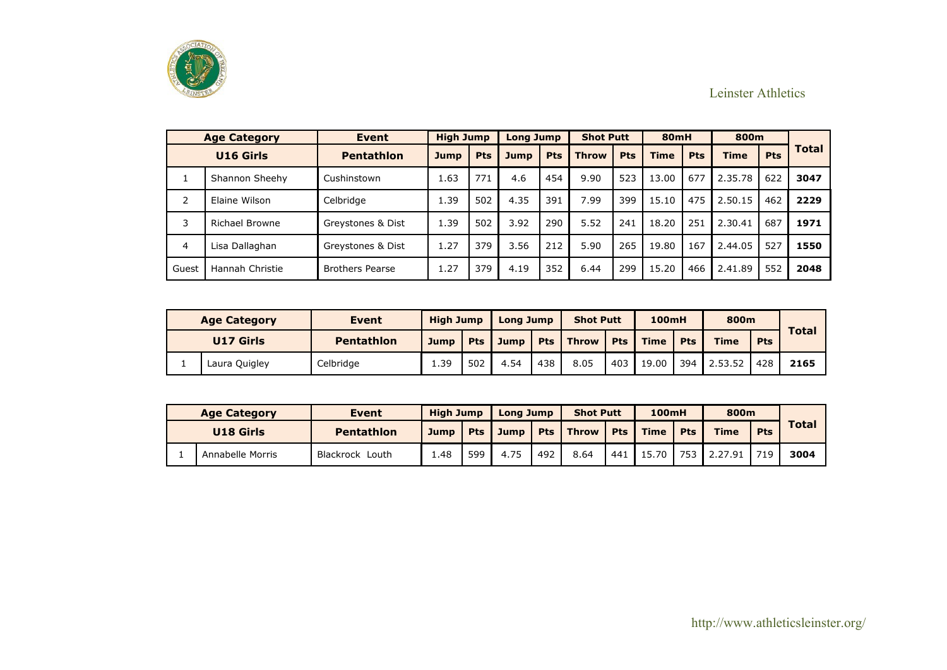

|       | <b>Age Category</b> | <b>Event</b>           | <b>High Jump</b> |            | <b>Long Jump</b> |            | <b>Shot Putt</b> |            | <b>80mH</b> |            | 800m        |            |              |
|-------|---------------------|------------------------|------------------|------------|------------------|------------|------------------|------------|-------------|------------|-------------|------------|--------------|
|       | U16 Girls           | <b>Pentathlon</b>      | <b>Jump</b>      | <b>Pts</b> | <b>Jump</b>      | <b>Pts</b> | <b>Throw</b>     | <b>Pts</b> | <b>Time</b> | <b>Pts</b> | <b>Time</b> | <b>Pts</b> | <b>Total</b> |
|       | Shannon Sheehy      | Cushinstown            | 1.63             | 771        | 4.6              | 454        | 9.90             | 523        | 13.00       | 677        | 2.35.78     | 622        | 3047         |
| 2     | Elaine Wilson       | Celbridge              | 1.39             | 502        | 4.35             | 391        | 7.99             | 399        | 15.10       | 475        | 2.50.15     | 462        | 2229         |
| 3     | Richael Browne      | Greystones & Dist      | 1.39             | 502        | 3.92             | 290        | 5.52             | 241        | 18.20       | 251        | 2.30.41     | 687        | 1971         |
| 4     | Lisa Dallaghan      | Greystones & Dist      | 1.27             | 379        | 3.56             | 212        | 5.90             | 265        | 19.80       | 167        | 2.44.05     | 527        | 1550         |
| Guest | Hannah Christie     | <b>Brothers Pearse</b> | 1.27             | 379        | 4.19             | 352        | 6.44             | 299        | 15.20       | 466        | 2.41.89     | 552        | 2048         |

| <b>Age Category</b> | Event             | <b>High Jump</b> |       | <b>Long Jump</b> |     | <b>Shot Putt</b>   |            | <b>100mH</b> |            | 800m        |            |              |
|---------------------|-------------------|------------------|-------|------------------|-----|--------------------|------------|--------------|------------|-------------|------------|--------------|
| U17 Girls           | <b>Pentathlon</b> | <b>Jump</b>      | Pts I | <b>Jump</b>      |     | <b>Pts</b>   Throw | <b>Pts</b> | <b>Time</b>  | <b>Pts</b> | <b>Time</b> | <b>Pts</b> | <b>Total</b> |
| Laura Quigley       | Celbridge         | 1.39             | 502   | 4.54             | 438 | 8.05               | 403        | 19.00        | 394        | 12.53.52    | 428        | 2165         |

| <b>Age Category</b> | <b>Event</b>      | <b>High Jump</b> |            | <b>Long Jump</b> |            | <b>Shot Putt</b> |            | <b>100mH</b> |            | 800m        |            |              |
|---------------------|-------------------|------------------|------------|------------------|------------|------------------|------------|--------------|------------|-------------|------------|--------------|
| U18 Girls           | <b>Pentathlon</b> | Jump             | <b>Pts</b> | <b>Jump</b>      | <b>Pts</b> | <b>Throw</b>     | <b>Pts</b> | Time         | <b>Pts</b> | <b>Time</b> | <b>Pts</b> | <b>Total</b> |
| Annabelle Morris    | Blackrock Louth   | 48.ء             | 599        | 4.75             | 492        | 8.64             | 441        | 15.70        | 753        | 2.27.91     | 719        | 3004         |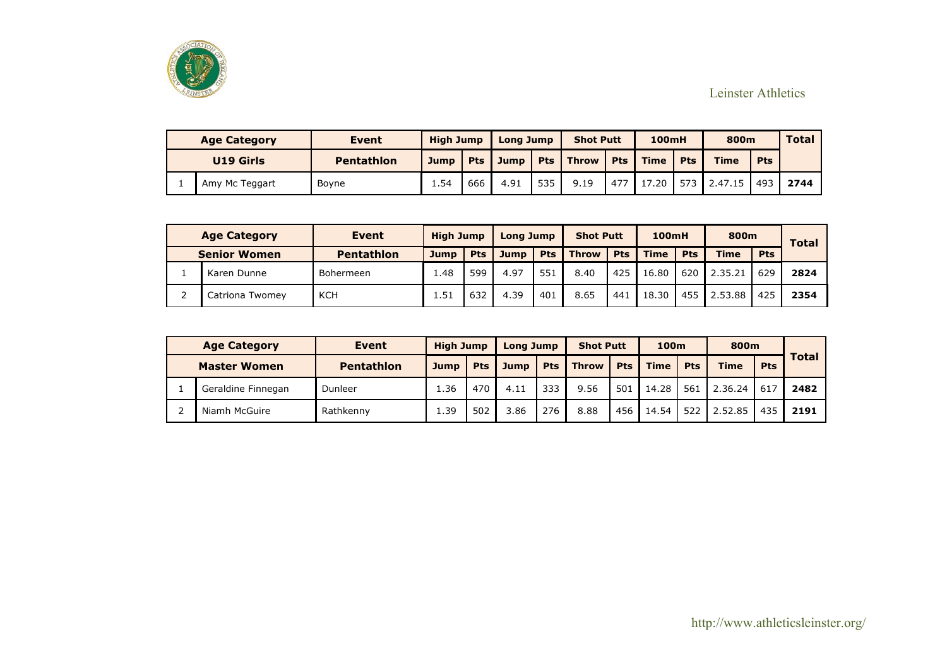

| <b>Age Category</b> | <b>Event</b>      | <b>High Jump</b> |     | Long Jump   |     | <b>Shot Putt</b>   |            | <b>100mH</b> |            | 800m        |            | Total |
|---------------------|-------------------|------------------|-----|-------------|-----|--------------------|------------|--------------|------------|-------------|------------|-------|
| U19 Girls           | <b>Pentathlon</b> | Jump             | Pts | <b>Jump</b> |     | <b>Pts</b>   Throw | <b>Pts</b> | <b>Time</b>  | <b>Pts</b> | <b>Time</b> | <b>Pts</b> |       |
| Amy Mc Teggart      | Boyne             | 1.54             | 666 | 4.91        | 535 | 9.19               | 477        | 17.20        | 573        | 2.47.15     | 493        | 2744  |

| <b>Age Category</b> | <b>Event</b>      | <b>High Jump</b> |            | <b>Long Jump</b> |            | <b>Shot Putt</b> |            | <b>100mH</b> |            | 800m        |            | <b>Total</b> |
|---------------------|-------------------|------------------|------------|------------------|------------|------------------|------------|--------------|------------|-------------|------------|--------------|
| <b>Senior Women</b> | <b>Pentathlon</b> | Jump             | <b>Pts</b> | Jump             | <b>Pts</b> | <b>Throw</b>     | <b>Pts</b> | <b>Time</b>  | <b>Pts</b> | <b>Time</b> | <b>Pts</b> |              |
| Karen Dunne         | Bohermeen         | 48. ،            | 599        | 4.97             | 551        | 8.40             | 425        | 16.80        | 620        | 2.35.21     | 629        | 2824         |
| Catriona Twomey     | <b>KCH</b>        | l.51             | 632        | 4.39             | 401        | 8.65             | 441        | 18.30        | 455        | 2.53.88     | 425        | 2354         |

| <b>Age Category</b> | Event             | <b>High Jump</b> |            | <b>Long Jump</b> |            | <b>Shot Putt</b> |            | 100m        |            | 800m        |            |              |
|---------------------|-------------------|------------------|------------|------------------|------------|------------------|------------|-------------|------------|-------------|------------|--------------|
| <b>Master Women</b> | <b>Pentathlon</b> | <b>Jump</b>      | <b>Pts</b> | <b>Jump</b>      | <b>Pts</b> | <b>Throw</b>     | <b>Pts</b> | <b>Time</b> | <b>Pts</b> | <b>Time</b> | <b>Pts</b> | <b>Total</b> |
| Geraldine Finnegan  | Dunleer           | 1.36             | 470        | 4.11             | 333        | 9.56             | 501        | 14.28       | 561        | 2.36.24     | 617        | 2482         |
| Niamh McGuire       | Rathkenny         | 1.39             | 502        | 3.86             | 276        | 8.88             | 456        | 14.54       | 522        | 2.52.85     | 435        | 2191         |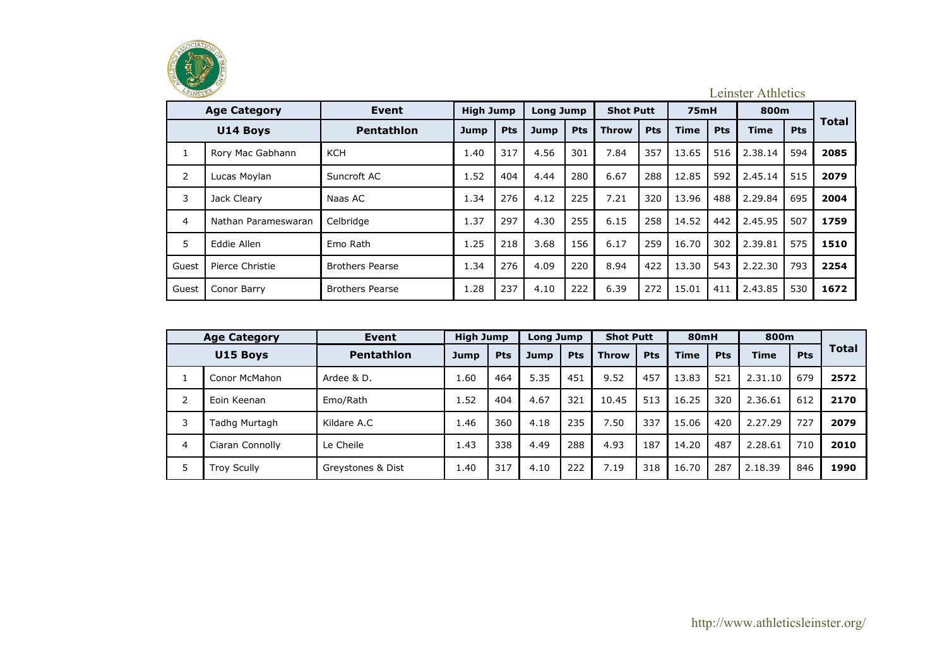

|                | <b>Age Category</b> | Event                  | <b>High Jump</b> |            | <b>Long Jump</b> |            | <b>Shot Putt</b> |            | <b>75mH</b> |     | 800m        |            |              |
|----------------|---------------------|------------------------|------------------|------------|------------------|------------|------------------|------------|-------------|-----|-------------|------------|--------------|
|                | <b>U14 Boys</b>     | <b>Pentathlon</b>      | <b>Jump</b>      | <b>Pts</b> | <b>Jump</b>      | <b>Pts</b> | <b>Throw</b>     | <b>Pts</b> | <b>Time</b> | Pts | <b>Time</b> | <b>Pts</b> | <b>Total</b> |
| 1              | Rory Mac Gabhann    | KCH                    | 1.40             | 317        | 4.56             | 301        | 7.84             | 357        | 13.65       | 516 | 2.38.14     | 594        | 2085         |
| $\overline{2}$ | Lucas Moylan        | Suncroft AC            | 1.52             | 404        | 4.44             | 280        | 6.67             | 288        | 12.85       | 592 | 2.45.14     | 515        | 2079         |
| 3              | Jack Cleary         | Naas AC                | 1.34             | 276        | 4.12             | 225        | 7.21             | 320        | 13.96       | 488 | 2.29.84     | 695        | 2004         |
| $\overline{4}$ | Nathan Parameswaran | Celbridge              | 1.37             | 297        | 4.30             | 255        | 6.15             | 258        | 14.52       | 442 | 2.45.95     | 507        | 1759         |
| 5              | Eddie Allen         | Emo Rath               | 1.25             | 218        | 3.68             | 156        | 6.17             | 259        | 16.70       | 302 | 2.39.81     | 575        | 1510         |
| Guest          | Pierce Christie     | <b>Brothers Pearse</b> | 1.34             | 276        | 4.09             | 220        | 8.94             | 422        | 13.30       | 543 | 2.22.30     | 793        | 2254         |
| Guest          | Conor Barry         | <b>Brothers Pearse</b> | 1.28             | 237        | 4.10             | 222        | 6.39             | 272        | 15.01       | 411 | 2.43.85     | 530        | 1672         |

|   | <b>Age Category</b> | Event             | <b>High Jump</b> |     | Long Jump |            | <b>Shot Putt</b> |            | 80mH        |            | 800m        |            |              |
|---|---------------------|-------------------|------------------|-----|-----------|------------|------------------|------------|-------------|------------|-------------|------------|--------------|
|   | U15 Boys            | <b>Pentathlon</b> | Jump             | Pts | Jump      | <b>Pts</b> | <b>Throw</b>     | <b>Pts</b> | <b>Time</b> | <b>Pts</b> | <b>Time</b> | <b>Pts</b> | <b>Total</b> |
|   | Conor McMahon       | Ardee & D.        | 1.60             | 464 | 5.35      | 451        | 9.52             | 457        | 13.83       | 521        | 2.31.10     | 679        | 2572         |
| っ | Eoin Keenan         | Emo/Rath          | 1.52             | 404 | 4.67      | 321        | 10.45            | 513        | 16.25       | 320        | 2.36.61     | 612        | 2170         |
| 3 | Tadhg Murtagh       | Kildare A.C       | 1.46             | 360 | 4.18      | 235        | 7.50             | 337        | 15.06       | 420        | 2.27.29     | 727        | 2079         |
| 4 | Ciaran Connolly     | Le Cheile         | 1.43             | 338 | 4.49      | 288        | 4.93             | 187        | 14.20       | 487        | 2.28.61     | 710        | 2010         |
| 5 | <b>Troy Scully</b>  | Greystones & Dist | 1.40             | 317 | 4.10      | 222        | 7.19             | 318        | 16.70       | 287        | 2.18.39     | 846        | 1990         |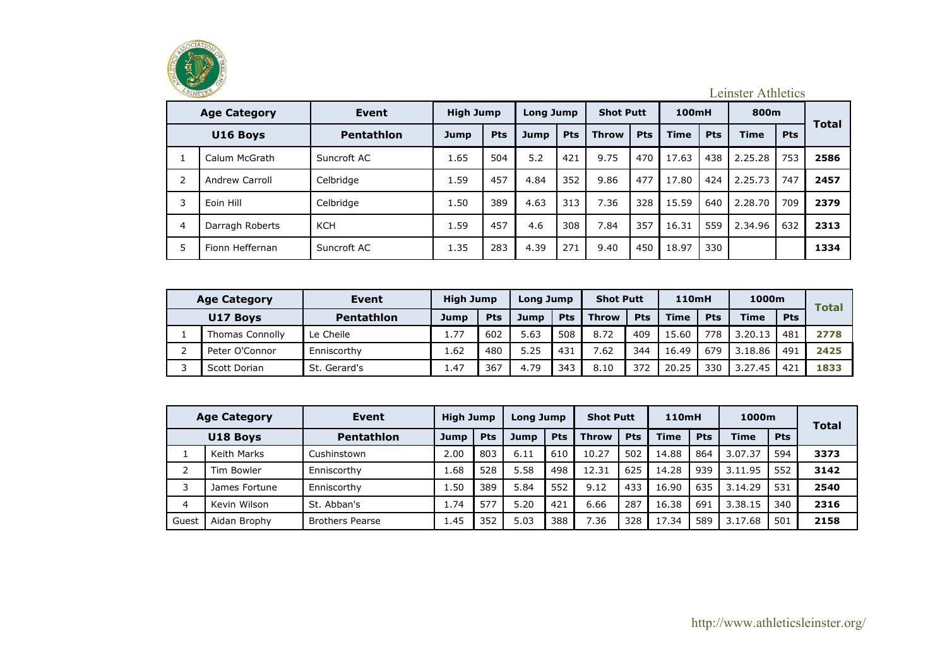

|                     | LEINSTER<br><b>Leinster Athletics</b> |                   |                  |     |                  |            |                  |            |             |            |             |            |              |  |  |
|---------------------|---------------------------------------|-------------------|------------------|-----|------------------|------------|------------------|------------|-------------|------------|-------------|------------|--------------|--|--|
| <b>Age Category</b> |                                       | Event             | <b>High Jump</b> |     | <b>Long Jump</b> |            | <b>Shot Putt</b> |            | 100mH       |            | 800m        |            |              |  |  |
| U16 Boys            |                                       | <b>Pentathlon</b> | <b>Jump</b>      | Pts | <b>Jump</b>      | <b>Pts</b> | <b>Throw</b>     | <b>Pts</b> | <b>Time</b> | <b>Pts</b> | <b>Time</b> | <b>Pts</b> | <b>Total</b> |  |  |
|                     | Calum McGrath                         | Suncroft AC       | 1.65             | 504 | 5.2              | 421        | 9.75             | 470        | 17.63       | 438        | 2.25.28     | 753        | 2586         |  |  |
| 2                   | Andrew Carroll                        | Celbridge         | 1.59             | 457 | 4.84             | 352        | 9.86             | 477        | 17.80       | 424        | 2.25.73     | 747        | 2457         |  |  |
| 3                   | Eoin Hill                             | Celbridge         | 1.50             | 389 | 4.63             | 313        | 7.36             | 328        | 15.59       | 640        | 2.28.70     | 709        | 2379         |  |  |
| $\overline{4}$      | Darragh Roberts                       | <b>KCH</b>        | 1.59             | 457 | 4.6              | 308        | 7.84             | 357        | 16.31       | 559        | 2.34.96     | 632        | 2313         |  |  |
| 5                   | Fionn Heffernan                       | Suncroft AC       | 1.35             | 283 | 4.39             | 271        | 9.40             | 450        | 18.97       | 330        |             |            | 1334         |  |  |

| <b>Age Category</b> |                 | Event             | <b>High Jump</b> |            | Long Jump |            | <b>Shot Putt</b> |            | <b>110mH</b> |            | 1000m       |            | <b>Total</b> |
|---------------------|-----------------|-------------------|------------------|------------|-----------|------------|------------------|------------|--------------|------------|-------------|------------|--------------|
|                     | U17 Boys        | <b>Pentathlon</b> | Jump             | <b>Pts</b> | Jump      | <b>Pts</b> | <b>Throw</b>     | <b>Pts</b> | <b>Time</b>  | <b>Pts</b> | <b>Time</b> | <b>Pts</b> |              |
|                     | Thomas Connolly | Le Cheile         | 1.77             | 602        | 5.63      | 508        | 8.72             | 409        | 15.60        | 778        | 3.20.13     | 481        | 2778         |
|                     | Peter O'Connor  | Enniscorthy       | 1.62             | 480        | 5.25      | 431        | 7.62             | 344        | 16.49        | 679        | 3.18.86     | 491        | 2425         |
|                     | Scott Dorian    | St. Gerard's      | 1.47             | 367        | 4.79      | 343        | 8.10             | 372        | 20.25        | 330        | 3.27.45     | 421        | 1833         |

| <b>Age Category</b> |               | Event                  | <b>High Jump</b> |            | Long Jump |            | <b>Shot Putt</b> |            | 110mH       |            | 1000m       |            | <b>Total</b> |
|---------------------|---------------|------------------------|------------------|------------|-----------|------------|------------------|------------|-------------|------------|-------------|------------|--------------|
| U18 Boys            |               | <b>Pentathlon</b>      | Jump             | <b>Pts</b> | Jump      | <b>Pts</b> | <b>Throw</b>     | <b>Pts</b> | <b>Time</b> | <b>Pts</b> | <b>Time</b> | <b>Pts</b> |              |
|                     | Keith Marks   | Cushinstown            | 2.00             | 803        | 6.11      | 610        | 10.27            | 502        | 14.88       | 864        | 3.07.37     | 594        | 3373         |
|                     | Tim Bowler    | Enniscorthy            | 1.68             | 528        | 5.58      | 498        | 12.31            | 625        | 14.28       | 939        | 3.11.95     | 552        | 3142         |
|                     | James Fortune | Enniscorthy            | 1.50             | 389        | 5.84      | 552        | 9.12             | 433        | 16.90       | 635        | 3.14.29     | 531        | 2540         |
| 4                   | Kevin Wilson  | St. Abban's            | 1.74             | 577        | 5.20      | 421        | 6.66             | 287        | 16.38       | 691        | 3.38.15     | 340        | 2316         |
| Guest               | Aidan Brophy  | <b>Brothers Pearse</b> | 1.45             | 352        | 5.03      | 388        | 7.36             | 328        | 17.34       | 589        | 3.17.68     | 501        | 2158         |